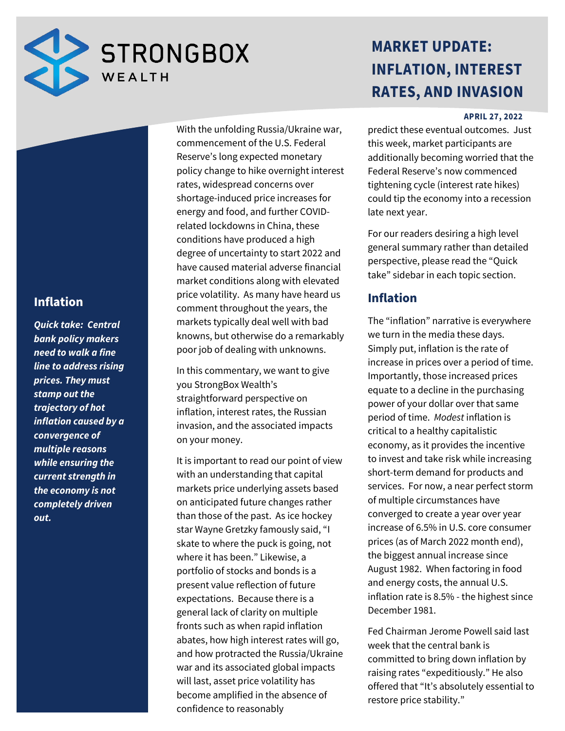

# **MARKET UPDATE: INFLATION, INTEREST RATES, AND INVASION**

#### **APRIL 27, 2022**

predict these eventual outcomes. Just this week, market participants are additionally becoming worried that the Federal Reserve's now commenced tightening cycle (interest rate hikes) could tip the economy into a recession late next year.

For our readers desiring a high level general summary rather than detailed perspective, please read the "Quick take" sidebar in each topic section.

#### **Inflation**

The "inflation" narrative is everywhere we turn in the media these days. Simply put, inflation is the rate of increase in prices over a period of time. Importantly, those increased prices equate to a decline in the purchasing power of your dollar over that same period of time. *Modest* inflation is critical to a healthy capitalistic economy, as it provides the incentive to invest and take risk while increasing short-term demand for products and services. For now, a near perfect storm of multiple circumstances have converged to create a year over year increase of 6.5% in U.S. core consumer prices (as of March 2022 month end), the biggest annual increase since August 1982. When factoring in food and energy costs, the annual U.S. inflation rate is 8.5% - the highest since December 1981.

Fed Chairman Jerome Powell said last week that the central bank is committed to bring down inflation by raising rates "expeditiously." He also offered that "It's absolutely essential to restore price stability."

### **Inflation**

*Quick take: Central bank policy makers need to walk a fine line to address rising prices. They must stamp out the trajectory of hot inflation caused by a convergence of multiple reasons while ensuring the current strength in the economy is not completely driven out.*

With the unfolding Russia/Ukraine war, commencement of the U.S. Federal Reserve's long expected monetary policy change to hike overnight interest rates, widespread concerns over shortage-induced price increases for energy and food, and further COVIDrelated lockdowns in China, these conditions have produced a high degree of uncertainty to start 2022 and have caused material adverse financial market conditions along with elevated price volatility. As many have heard us comment throughout the years, the markets typically deal well with bad knowns, but otherwise do a remarkably poor job of dealing with unknowns.

In this commentary, we want to give you StrongBox Wealth's straightforward perspective on inflation, interest rates, the Russian invasion, and the associated impacts on your money.

It is important to read our point of view with an understanding that capital markets price underlying assets based on anticipated future changes rather than those of the past. As ice hockey star Wayne Gretzky famously said, "I skate to where the puck is going, not where it has been." Likewise, a portfolio of stocks and bonds is a present value reflection of future expectations. Because there is a general lack of clarity on multiple fronts such as when rapid inflation abates, how high interest rates will go, and how protracted the Russia/Ukraine war and its associated global impacts will last, asset price volatility has become amplified in the absence of confidence to reasonably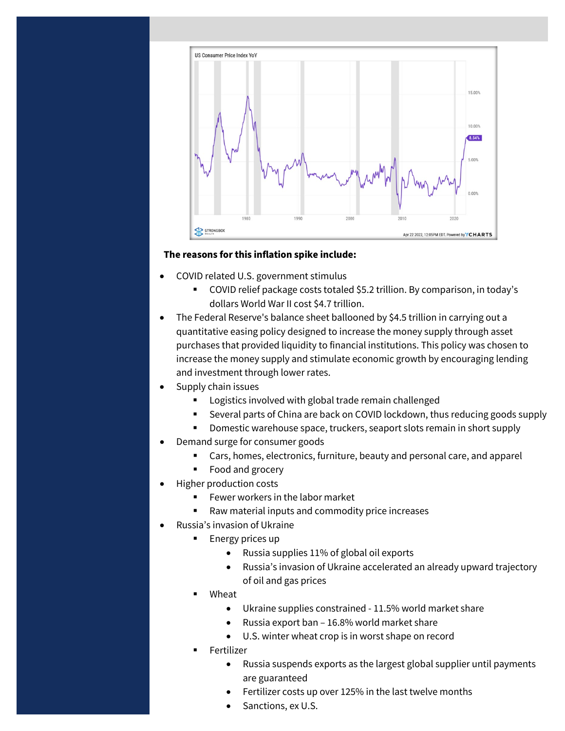

#### **The reasons for this inflation spike include:**

- COVID related U.S. government stimulus
	- COVID relief package costs totaled \$5.2 trillion. By comparison, in today's dollars World War II cost \$4.7 trillion.
- The Federal Reserve's balance sheet ballooned by \$4.5 trillion in carrying out a quantitative easing policy designed to increase the money supply through asset purchases that provided liquidity to financial institutions. This policy was chosen to increase the money supply and stimulate economic growth by encouraging lending and investment through lower rates.
- Supply chain issues
	- Logistics involved with global trade remain challenged
	- Several parts of China are back on COVID lockdown, thus reducing goods supply
	- Domestic warehouse space, truckers, seaport slots remain in short supply
- Demand surge for consumer goods
	- Cars, homes, electronics, furniture, beauty and personal care, and apparel
	- Food and grocery
- Higher production costs
	- Fewer workers in the labor market
	- Raw material inputs and commodity price increases
- Russia's invasion of Ukraine
	- Energy prices up
		- Russia supplies 11% of global oil exports
		- Russia's invasion of Ukraine accelerated an already upward trajectory of oil and gas prices
	- Wheat
		- Ukraine supplies constrained 11.5% world market share
		- Russia export ban 16.8% world market share
		- U.S. winter wheat crop is in worst shape on record
	- Fertilizer
		- Russia suspends exports as the largest global supplier until payments are guaranteed
		- Fertilizer costs up over 125% in the last twelve months
		- Sanctions, ex U.S.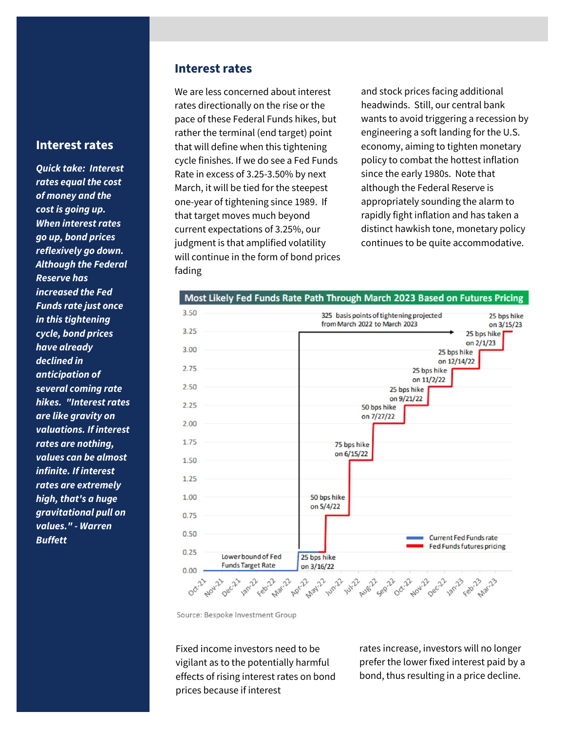#### **Interest rates**

*Quick take: Interest rates equal the cost of money and the cost is going up. When interest rates go up, bond prices reflexively go down. Although the Federal Reserve has increased the Fed Funds rate just once in this tightening cycle, bond prices have already declined in anticipation of several coming rate hikes. "Interest rates are like gravity on valuations. If interest rates are nothing, values can be almost infinite. If interest rates are extremely high, that's a huge gravitational pull on values." - Warren Buffett*

#### **Interest rates**

We are less concerned about interest rates directionally on the rise or the pace of these Federal Funds hikes, but rather the terminal (end target) point that will define when this tightening cycle finishes. If we do see a Fed Funds Rate in excess of 3.25-3.50% by next March, it will be tied for the steepest one-year of tightening since 1989. If that target moves much beyond current expectations of 3.25%, our judgment is that amplified volatility will continue in the form of bond prices fading

and stock prices facing additional headwinds. Still, our central bank wants to avoid triggering a recession by engineering a soft landing for the U.S. economy, aiming to tighten monetary policy to combat the hottest inflation since the early 1980s. Note that although the Federal Reserve is appropriately sounding the alarm to rapidly fight inflation and has taken a distinct hawkish tone, monetary policy continues to be quite accommodative.



Source: Bespoke Investment Group

Fixed income investors need to be vigilant as to the potentially harmful effects of rising interest rates on bond prices because if interest

rates increase, investors will no longer prefer the lower fixed interest paid by a bond, thus resulting in a price decline.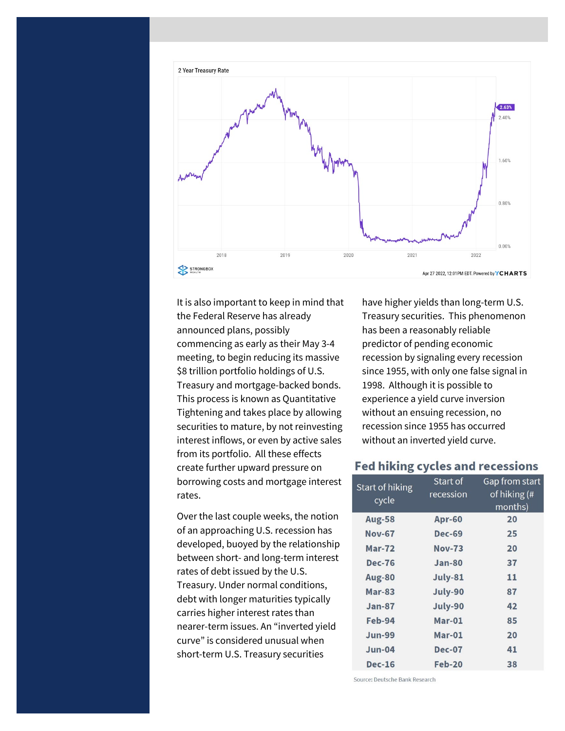

It is also important to keep in mind that the Federal Reserve has already announced plans, possibly commencing as early as their May 3-4 meeting, to begin reducing its massive \$8 trillion portfolio holdings of U.S. Treasury and mortgage-backed bonds. This process is known as Quantitative Tightening and takes place by allowing securities to mature, by not reinvesting interest inflows, or even by active sales from its portfolio. All these effects create further upward pressure on borrowing costs and mortgage interest rates.

Over the last couple weeks, the notion of an approaching U.S. recession has developed, buoyed by the relationship between short- and long-term interest rates of debt issued by the U.S. Treasury. Under normal conditions, debt with longer maturities typically carries higher interest rates than nearer-term issues. An "inverted yield curve" is considered unusual when short-term U.S. Treasury securities

have higher yields than long-term U.S. Treasury securities. This phenomenon has been a reasonably reliable predictor of pending economic recession by signaling every recession since 1955, with only one false signal in 1998. Although it is possible to experience a yield curve inversion without an ensuing recession, no recession since 1955 has occurred without an inverted yield curve.

#### **Fed hiking cycles and recessions**

| <b>Start of hiking</b><br>cycle | Start of      | Gap from start |
|---------------------------------|---------------|----------------|
|                                 | recession     | of hiking (#   |
|                                 |               | months)        |
| <b>Aug-58</b>                   | <b>Apr-60</b> | 20             |
| <b>Nov-67</b>                   | <b>Dec-69</b> | 25             |
| <b>Mar-72</b>                   | <b>Nov-73</b> | 20             |
| <b>Dec-76</b>                   | $Jan-80$      | 37             |
| Aug-80                          | July-81       | 11             |
| $Mar-83$                        | July-90       | 87             |
| $Jan-87$                        | July-90       | 42             |
| Feb-94                          | $Mar-01$      | 85             |
| <b>Jun-99</b>                   | Mar-01        | 20             |
| <b>Jun-04</b>                   | <b>Dec-07</b> | 41             |
| <b>Dec-16</b>                   | Feb-20        | 38             |

Source: Deutsche Bank Research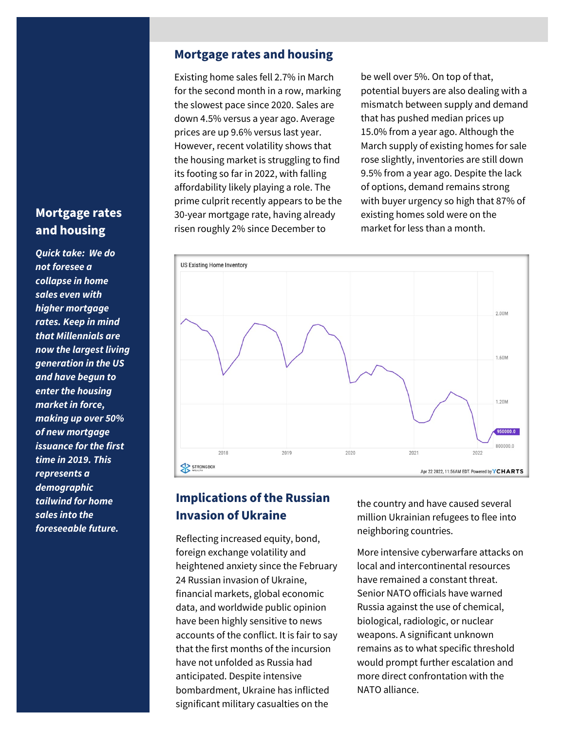### **Mortgage rates and housing**

*Quick take: We do not foresee a collapse in home sales even with higher mortgage rates. Keep in mind that Millennials are now the largest living generation in the US and have begun to enter the housing market in force, making up over 50% of new mortgage issuance for the first time in 2019. This represents a demographic tailwind for home sales into the foreseeable future.*

#### **Mortgage rates and housing**

Existing home sales fell 2.7% in March for the second month in a row, marking the slowest pace since 2020. Sales are down 4.5% versus a year ago. Average prices are up 9.6% versus last year. However, recent volatility shows that the housing market is struggling to find its footing so far in 2022, with falling affordability likely playing a role. The prime culprit recently appears to be the 30-year mortgage rate, having already risen roughly 2% since December to

be well over 5%. On top of that, potential buyers are also dealing with a mismatch between supply and demand that has pushed median prices up 15.0% from a year ago. Although the March supply of existing homes for sale rose slightly, inventories are still down 9.5% from a year ago. Despite the lack of options, demand remains strong with buyer urgency so high that 87% of existing homes sold were on the market for less than a month.



### **Implications of the Russian Invasion of Ukraine**

Reflecting increased equity, bond, foreign exchange volatility and heightened anxiety since the February 24 Russian invasion of Ukraine, financial markets, global economic data, and worldwide public opinion have been highly sensitive to news accounts of the conflict. It is fair to say that the first months of the incursion have not unfolded as Russia had anticipated. Despite intensive bombardment, Ukraine has inflicted significant military casualties on the

the country and have caused several million Ukrainian refugees to flee into neighboring countries.

More intensive cyberwarfare attacks on local and intercontinental resources have remained a constant threat. Senior NATO officials have warned Russia against the use of chemical, biological, radiologic, or nuclear weapons. A significant unknown remains as to what specific threshold would prompt further escalation and more direct confrontation with the NATO alliance.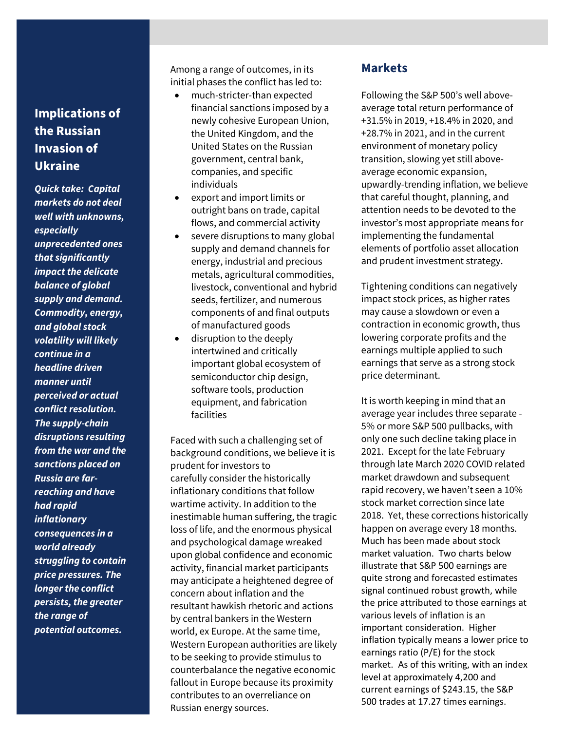## **Implications of the Russian Invasion of Ukraine**

*Quick take: Capital markets do not deal well with unknowns, especially unprecedented ones that significantly impact the delicate balance of global supply and demand. Commodity, energy, and global stock volatility will likely continue in a headline driven manner until perceived or actual conflict resolution. The supply-chain disruptions resulting from the war and the sanctions placed on Russia are farreaching and have had rapid inflationary consequences in a world already struggling to contain price pressures. The longer the conflict persists, the greater the range of potential outcomes.*

Among a range of outcomes, in its initial phases the conflict has led to:

- much-stricter-than expected financial sanctions imposed by a newly cohesive European Union, the United Kingdom, and the United States on the Russian government, central bank, companies, and specific individuals
- export and import limits or outright bans on trade, capital flows, and commercial activity
- severe disruptions to many global supply and demand channels for energy, industrial and precious metals, agricultural commodities, livestock, conventional and hybrid seeds, fertilizer, and numerous components of and final outputs of manufactured goods
- disruption to the deeply intertwined and critically important global ecosystem of semiconductor chip design, software tools, production equipment, and fabrication facilities

Faced with such a challenging set of background conditions, we believe it is prudent for investors to carefully consider the historically inflationary conditions that follow wartime activity. In addition to the inestimable human suffering, the tragic loss of life, and the enormous physical and psychological damage wreaked upon global confidence and economic activity, financial market participants may anticipate a heightened degree of concern about inflation and the resultant hawkish rhetoric and actions by central bankers in the Western world, ex Europe. At the same time, Western European authorities are likely to be seeking to provide stimulus to counterbalance the negative economic fallout in Europe because its proximity contributes to an overreliance on Russian energy sources.

#### **Markets**

Following the S&P 500's well aboveaverage total return performance of +31.5% in 2019, +18.4% in 2020, and +28.7% in 2021, and in the current environment of monetary policy transition, slowing yet still aboveaverage economic expansion, upwardly-trending inflation, we believe that careful thought, planning, and attention needs to be devoted to the investor's most appropriate means for implementing the fundamental elements of portfolio asset allocation and prudent investment strategy.

Tightening conditions can negatively impact stock prices, as higher rates may cause a slowdown or even a contraction in economic growth, thus lowering corporate profits and the earnings multiple applied to such earnings that serve as a strong stock price determinant.

It is worth keeping in mind that an average year includes three separate - 5% or more S&P 500 pullbacks, with only one such decline taking place in 2021. Except for the late February through late March 2020 COVID related market drawdown and subsequent rapid recovery, we haven't seen a 10% stock market correction since late 2018. Yet, these corrections historically happen on average every 18 months. Much has been made about stock market valuation. Two charts below illustrate that S&P 500 earnings are quite strong and forecasted estimates signal continued robust growth, while the price attributed to those earnings at various levels of inflation is an important consideration. Higher inflation typically means a lower price to earnings ratio (P/E) for the stock market. As of this writing, with an index level at approximately 4,200 and current earnings of \$243.15, the S&P 500 trades at 17.27 times earnings.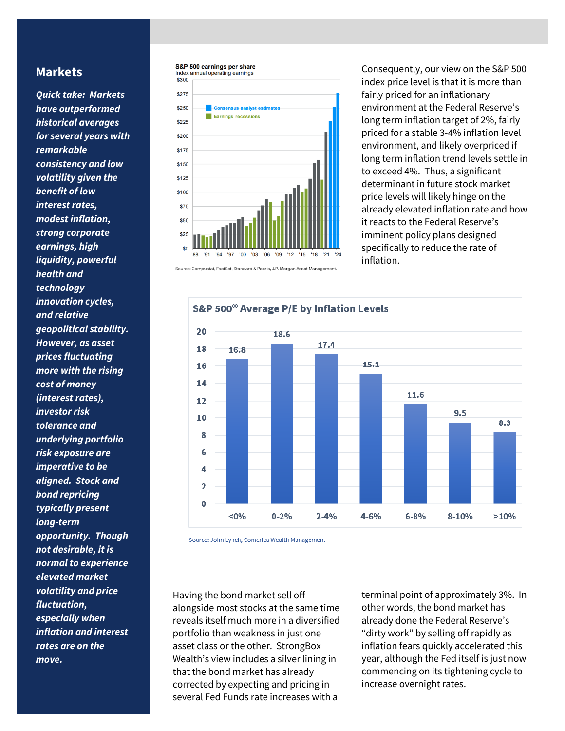#### **Markets**

*Quick take: Markets have outperformed historical averages for several years with remarkable consistency and low volatility given the benefit of low interest rates, modest inflation, strong corporate earnings, high liquidity, powerful health and technology innovation cycles, and relative geopolitical stability. However, as asset prices fluctuating more with the rising cost of money (interest rates), investor risk tolerance and underlying portfolio risk exposure are imperative to be aligned. Stock and bond repricing typically present long-term opportunity. Though not desirable, it is normal to experience elevated market volatility and price fluctuation, especially when inflation and interest rates are on the move.*

#### S&P 500 earnings per share Index annual operating earnings



Consequently, our view on the S&P 500 index price level is that it is more than fairly priced for an inflationary environment at the Federal Reserve's long term inflation target of 2%, fairly priced for a stable 3-4% inflation level environment, and likely overpriced if long term inflation trend levels settle in to exceed 4%. Thus, a significant determinant in future stock market price levels will likely hinge on the already elevated inflation rate and how it reacts to the Federal Reserve's imminent policy plans designed specifically to reduce the rate of inflation.



#### S&P 500<sup>®</sup> Average P/E by Inflation Levels





Having the bond market sell off alongside most stocks at the same time reveals itself much more in a diversified portfolio than weakness in just one asset class or the other. StrongBox Wealth's view includes a silver lining in that the bond market has already corrected by expecting and pricing in several Fed Funds rate increases with a

terminal point of approximately 3%. In other words, the bond market has already done the Federal Reserve's "dirty work" by selling off rapidly as inflation fears quickly accelerated this year, although the Fed itself is just now commencing on its tightening cycle to increase overnight rates.